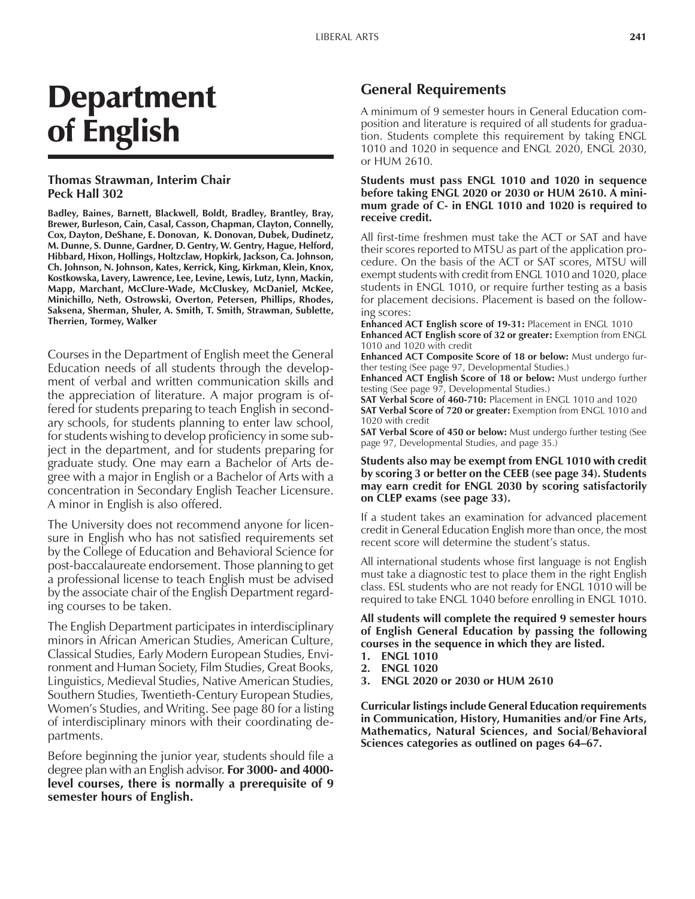# Department of English

#### **Thomas Strawman, Interim Chair Peck Hall 302**

**Badley, Baines, Barnett, Blackwell, Boldt, Bradley, Brantley, Bray, Brewer, Burleson, Cain, Casal, Casson, Chapman, Clayton, Connelly, Cox, Dayton, DeShane, E. Donovan, K. Donovan, Dubek, Dudinetz, M. Dunne, S. Dunne, Gardner, D. Gentry, W. Gentry, Hague, Helford, Hibbard, Hixon, Hollings, Holtzclaw, Hopkirk, Jackson, Ca. Johnson, Ch. Johnson, N. Johnson, Kates, Kerrick, King, Kirkman, Klein, Knox, Kostkowska, Lavery, Lawrence, Lee, Levine, Lewis, Lutz, Lynn, Mackin, Mapp, Marchant, McClure-Wade, McCluskey, McDaniel, McKee, Minichillo, Neth, Ostrowski, Overton, Petersen, Phillips, Rhodes, Saksena, Sherman, Shuler, A. Smith, T. Smith, Strawman, Sublette, Therrien, Tormey, Walker**

Courses in the Department of English meet the General Education needs of all students through the development of verbal and written communication skills and the appreciation of literature. A major program is offered for students preparing to teach English in secondary schools, for students planning to enter law school, for students wishing to develop proficiency in some subject in the department, and for students preparing for graduate study. One may earn a Bachelor of Arts degree with a major in English or a Bachelor of Arts with a concentration in Secondary English Teacher Licensure. A minor in English is also offered.

The University does not recommend anyone for licensure in English who has not satisfied requirements set by the College of Education and Behavioral Science for post-baccalaureate endorsement. Those planning to get a professional license to teach English must be advised by the associate chair of the English Department regarding courses to be taken.

The English Department participates in interdisciplinary minors in African American Studies, American Culture, Classical Studies, Early Modern European Studies, Environment and Human Society, Film Studies, Great Books, Linguistics, Medieval Studies, Native American Studies, Southern Studies, Twentieth-Century European Studies, Womenís Studies, and Writing. See page 80 for a listing of interdisciplinary minors with their coordinating departments.

Before beginning the junior year, students should file a degree plan with an English advisor. **For 3000- and 4000 level courses, there is normally a prerequisite of 9 semester hours of English.**

## **General Requirements**

A minimum of 9 semester hours in General Education composition and literature is required of all students for graduation. Students complete this requirement by taking ENGL 1010 and 1020 in sequence and ENGL 2020, ENGL 2030, or HUM 2610.

#### **Students must pass ENGL 1010 and 1020 in sequence before taking ENGL 2020 or 2030 or HUM 2610. A minimum grade of C- in ENGL 1010 and 1020 is required to receive credit.**

All first-time freshmen must take the ACT or SAT and have their scores reported to MTSU as part of the application procedure. On the basis of the ACT or SAT scores, MTSU will exempt students with credit from ENGL 1010 and 1020, place students in ENGL 1010, or require further testing as a basis for placement decisions. Placement is based on the following scores:

**Enhanced ACT English score of 19-31:** Placement in ENGL 1010 **Enhanced ACT English score of 32 or greater:** Exemption from ENGL 1010 and 1020 with credit

**Enhanced ACT Composite Score of 18 or below:** Must undergo further testing (See page 97, Developmental Studies.)

**Enhanced ACT English Score of 18 or below:** Must undergo further testing (See page 97, Developmental Studies.)

**SAT Verbal Score of 460-710:** Placement in ENGL 1010 and 1020 **SAT Verbal Score of 720 or greater:** Exemption from ENGL 1010 and 1020 with credit

**SAT Verbal Score of 450 or below:** Must undergo further testing (See page 97, Developmental Studies, and page 35.)

#### **Students also may be exempt from ENGL 1010 with credit by scoring 3 or better on the CEEB (see page 34). Students may earn credit for ENGL 2030 by scoring satisfactorily on CLEP exams (see page 33).**

If a student takes an examination for advanced placement credit in General Education English more than once, the most recent score will determine the student's status.

All international students whose first language is not English must take a diagnostic test to place them in the right English class. ESL students who are not ready for ENGL 1010 will be required to take ENGL 1040 before enrolling in ENGL 1010.

#### **All students will complete the required 9 semester hours of English General Education by passing the following courses in the sequence in which they are listed.**

- **1. ENGL 1010**
- **2. ENGL 1020**
- **3. ENGL 2020 or 2030 or HUM 2610**

**Curricular listings include General Education requirements in Communication, History, Humanities and/or Fine Arts, Mathematics, Natural Sciences, and Social/Behavioral** Sciences categories as outlined on pages 64–67.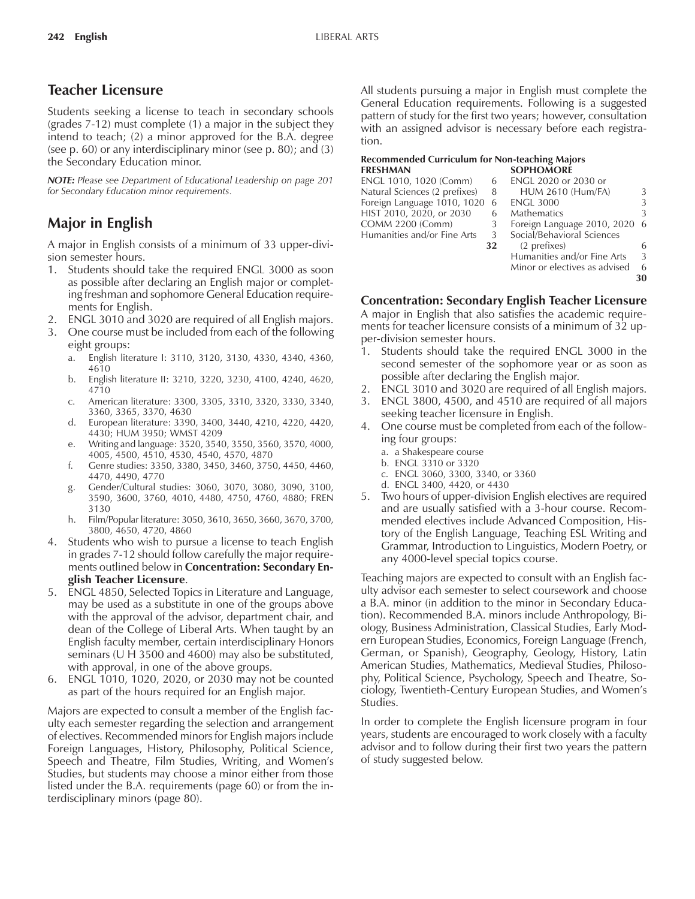# **Teacher Licensure**

Students seeking a license to teach in secondary schools (grades 7-12) must complete (1) a major in the subject they intend to teach; (2) a minor approved for the B.A. degree (see p. 60) or any interdisciplinary minor (see p. 80); and (3) the Secondary Education minor.

*NOTE: Please see Department of Educational Leadership on page 201 for Secondary Education minor requirements.*

# **Major in English**

A major in English consists of a minimum of 33 upper-division semester hours.

- 1. Students should take the required ENGL 3000 as soon as possible after declaring an English major or completing freshman and sophomore General Education requirements for English.
- 2. ENGL 3010 and 3020 are required of all English majors.
- 3. One course must be included from each of the following eight groups:
	- a. English literature I: 3110, 3120, 3130, 4330, 4340, 4360, 4610
	- b. English literature II: 3210, 3220, 3230, 4100, 4240, 4620, 4710
	- c. American literature: 3300, 3305, 3310, 3320, 3330, 3340, 3360, 3365, 3370, 4630
	- d. European literature: 3390, 3400, 3440, 4210, 4220, 4420, 4430; HUM 3950; WMST 4209
	- e. Writing and language: 3520, 3540, 3550, 3560, 3570, 4000, 4005, 4500, 4510, 4530, 4540, 4570, 4870
	- f. Genre studies: 3350, 3380, 3450, 3460, 3750, 4450, 4460, 4470, 4490, 4770
	- g. Gender/Cultural studies: 3060, 3070, 3080, 3090, 3100, 3590, 3600, 3760, 4010, 4480, 4750, 4760, 4880; FREN 3130
	- h. Film/Popular literature: 3050, 3610, 3650, 3660, 3670, 3700, 3800, 4650, 4720, 4860
- Students who wish to pursue a license to teach English in grades 7-12 should follow carefully the major requirements outlined below in **Concentration: Secondary English Teacher Licensure**.
- 5. ENGL 4850, Selected Topics in Literature and Language, may be used as a substitute in one of the groups above with the approval of the advisor, department chair, and dean of the College of Liberal Arts. When taught by an English faculty member, certain interdisciplinary Honors seminars (U H 3500 and 4600) may also be substituted, with approval, in one of the above groups.
- 6. ENGL 1010, 1020, 2020, or 2030 may not be counted as part of the hours required for an English major.

Majors are expected to consult a member of the English faculty each semester regarding the selection and arrangement of electives. Recommended minors for English majors include Foreign Languages, History, Philosophy, Political Science, Speech and Theatre, Film Studies, Writing, and Womenís Studies, but students may choose a minor either from those listed under the B.A. requirements (page 60) or from the interdisciplinary minors (page 80).

All students pursuing a major in English must complete the General Education requirements. Following is a suggested pattern of study for the first two years; however, consultation with an assigned advisor is necessary before each registration.

#### **Recommended Curriculum for Non-teaching Majors FRESHMAN SOPHOMORE**

| ENGL 1010, 1020 (Comm)        | 6  | ENGL 2020 or 2030 or          |    |
|-------------------------------|----|-------------------------------|----|
| Natural Sciences (2 prefixes) | 8  | <b>HUM 2610 (Hum/FA)</b>      | 3  |
| Foreign Language 1010, 1020   | 6  | <b>ENGL 3000</b>              | 3  |
| HIST 2010, 2020, or 2030      | 6  | Mathematics                   | 3  |
| <b>COMM 2200 (Comm)</b>       |    | Foreign Language 2010, 2020   | -6 |
| Humanities and/or Fine Arts   | 3  | Social/Behavioral Sciences    |    |
|                               | 32 | (2 prefixes)                  | 6  |
|                               |    | Humanities and/or Fine Arts   | 3  |
|                               |    | Minor or electives as advised | 6  |
|                               |    |                               | 30 |

### **Concentration: Secondary English Teacher Licensure**

A major in English that also satisfies the academic requirements for teacher licensure consists of a minimum of 32 upper-division semester hours.

- 1. Students should take the required ENGL 3000 in the second semester of the sophomore year or as soon as possible after declaring the English major.
- 2. ENGL 3010 and 3020 are required of all English majors.
- 3. ENGL 3800, 4500, and 4510 are required of all majors seeking teacher licensure in English.
- 4. One course must be completed from each of the following four groups:
	- a. a Shakespeare course
	- b. ENGL 3310 or 3320
	- c. ENGL 3060, 3300, 3340, or 3360
	- d. ENGL 3400, 4420, or 4430
- 5. Two hours of upper-division English electives are required and are usually satisfied with a 3-hour course. Recommended electives include Advanced Composition, History of the English Language, Teaching ESL Writing and Grammar, Introduction to Linguistics, Modern Poetry, or any 4000-level special topics course.

Teaching majors are expected to consult with an English faculty advisor each semester to select coursework and choose a B.A. minor (in addition to the minor in Secondary Education). Recommended B.A. minors include Anthropology, Biology, Business Administration, Classical Studies, Early Modern European Studies, Economics, Foreign Language (French, German, or Spanish), Geography, Geology, History, Latin American Studies, Mathematics, Medieval Studies, Philosophy, Political Science, Psychology, Speech and Theatre, Sociology, Twentieth-Century European Studies, and Womenís Studies.

In order to complete the English licensure program in four years, students are encouraged to work closely with a faculty advisor and to follow during their first two years the pattern of study suggested below.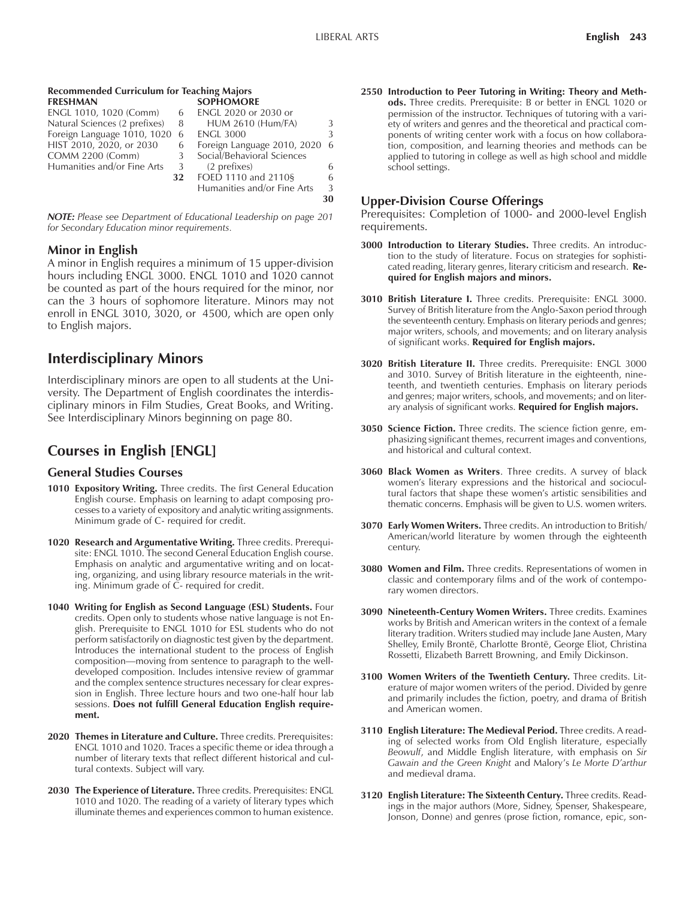**30**

#### **Recommended Curriculum for Teaching Majors**

|    | <b>SOPHOMORE</b>            |   |
|----|-----------------------------|---|
| 6  | ENGL 2020 or 2030 or        |   |
| 8  | <b>HUM 2610 (Hum/FA)</b>    |   |
| -6 | <b>ENGL 3000</b>            |   |
| 6  | Foreign Language 2010, 2020 | 6 |
| 3  | Social/Behavioral Sciences  |   |
| 3  | (2 prefixes)                |   |
| 32 | FOED 1110 and 2110§         |   |
|    | Humanities and/or Fine Arts |   |
|    |                             |   |

*NOTE: Please see Department of Educational Leadership on page 201 for Secondary Education minor requirements.*

#### **Minor in English**

A minor in English requires a minimum of 15 upper-division hours including ENGL 3000. ENGL 1010 and 1020 cannot be counted as part of the hours required for the minor, nor can the 3 hours of sophomore literature. Minors may not enroll in ENGL 3010, 3020, or 4500, which are open only to English majors.

# **Interdisciplinary Minors**

Interdisciplinary minors are open to all students at the University. The Department of English coordinates the interdisciplinary minors in Film Studies, Great Books, and Writing. See Interdisciplinary Minors beginning on page 80.

# **Courses in English [ENGL]**

#### **General Studies Courses**

- **1010 Expository Writing.** Three credits. The first General Education English course. Emphasis on learning to adapt composing processes to a variety of expository and analytic writing assignments. Minimum grade of C- required for credit.
- **1020 Research and Argumentative Writing.** Three credits. Prerequisite: ENGL 1010. The second General Education English course. Emphasis on analytic and argumentative writing and on locating, organizing, and using library resource materials in the writing. Minimum grade of C- required for credit.
- **1040 Writing for English as Second Language (ESL) Students.** Four credits. Open only to students whose native language is not English. Prerequisite to ENGL 1010 for ESL students who do not perform satisfactorily on diagnostic test given by the department. Introduces the international student to the process of English composition—moving from sentence to paragraph to the welldeveloped composition. Includes intensive review of grammar and the complex sentence structures necessary for clear expression in English. Three lecture hours and two one-half hour lab sessions. **Does not fulfill General Education English requirement.**
- **2020 Themes in Literature and Culture.** Three credits. Prerequisites: ENGL 1010 and 1020. Traces a specific theme or idea through a number of literary texts that reflect different historical and cultural contexts. Subject will vary.
- **2030 The Experience of Literature.** Three credits. Prerequisites: ENGL 1010 and 1020. The reading of a variety of literary types which illuminate themes and experiences common to human existence.

**2550 Introduction to Peer Tutoring in Writing: Theory and Methods.** Three credits. Prerequisite: B or better in ENGL 1020 or permission of the instructor. Techniques of tutoring with a variety of writers and genres and the theoretical and practical components of writing center work with a focus on how collaboration, composition, and learning theories and methods can be applied to tutoring in college as well as high school and middle school settings.

#### **Upper-Division Course Offerings**

Prerequisites: Completion of 1000- and 2000-level English requirements.

- **3000 Introduction to Literary Studies.** Three credits. An introduction to the study of literature. Focus on strategies for sophisticated reading, literary genres, literary criticism and research. **Required for English majors and minors.**
- **3010 British Literature I.** Three credits. Prerequisite: ENGL 3000. Survey of British literature from the Anglo-Saxon period through the seventeenth century. Emphasis on literary periods and genres; major writers, schools, and movements; and on literary analysis of significant works. **Required for English majors.**
- **3020 British Literature II.** Three credits. Prerequisite: ENGL 3000 and 3010. Survey of British literature in the eighteenth, nineteenth, and twentieth centuries. Emphasis on literary periods and genres; major writers, schools, and movements; and on literary analysis of significant works. **Required for English majors.**
- **3050 Science Fiction.** Three credits. The science fiction genre, emphasizing significant themes, recurrent images and conventions, and historical and cultural context.
- **3060 Black Women as Writers**. Three credits. A survey of black women's literary expressions and the historical and sociocultural factors that shape these women's artistic sensibilities and thematic concerns. Emphasis will be given to U.S. women writers.
- **3070 Early Women Writers.** Three credits. An introduction to British/ American/world literature by women through the eighteenth century.
- **3080 Women and Film.** Three credits. Representations of women in classic and contemporary films and of the work of contemporary women directors.
- **3090 Nineteenth-Century Women Writers.** Three credits. Examines works by British and American writers in the context of a female literary tradition. Writers studied may include Jane Austen, Mary Shelley, Emily Brontë, Charlotte Brontë, George Eliot, Christina Rossetti, Elizabeth Barrett Browning, and Emily Dickinson.
- **3100 Women Writers of the Twentieth Century.** Three credits. Literature of major women writers of the period. Divided by genre and primarily includes the fiction, poetry, and drama of British and American women.
- **3110 English Literature: The Medieval Period.** Three credits. A reading of selected works from Old English literature, especially *Beowulf*, and Middle English literature, with emphasis on *Sir Gawain and the Green Knight* and Maloryís *Le Morte Díarthur* and medieval drama.
- **3120 English Literature: The Sixteenth Century.** Three credits. Readings in the major authors (More, Sidney, Spenser, Shakespeare, Jonson, Donne) and genres (prose fiction, romance, epic, son-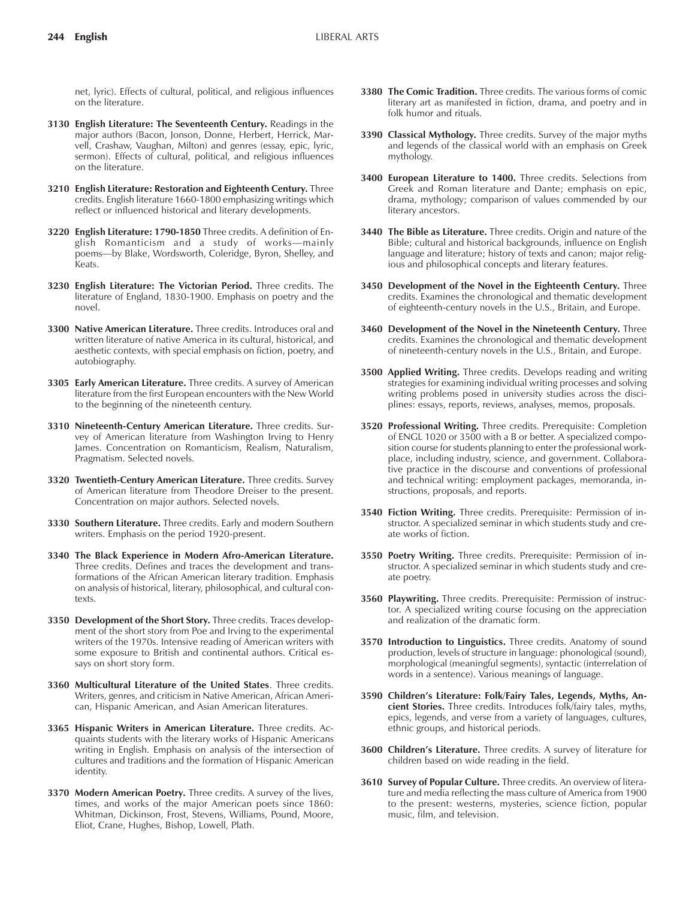net, lyric). Effects of cultural, political, and religious influences on the literature.

- **3130 English Literature: The Seventeenth Century.** Readings in the major authors (Bacon, Jonson, Donne, Herbert, Herrick, Marvell, Crashaw, Vaughan, Milton) and genres (essay, epic, lyric, sermon). Effects of cultural, political, and religious influences on the literature.
- **3210 English Literature: Restoration and Eighteenth Century.** Three credits. English literature 1660-1800 emphasizing writings which reflect or influenced historical and literary developments.
- **3220 English Literature: 1790-1850** Three credits. A definition of English Romanticism and a study of works-mainly poems-by Blake, Wordsworth, Coleridge, Byron, Shelley, and Keats.
- **3230 English Literature: The Victorian Period.** Three credits. The literature of England, 1830-1900. Emphasis on poetry and the novel.
- **3300 Native American Literature.** Three credits. Introduces oral and written literature of native America in its cultural, historical, and aesthetic contexts, with special emphasis on fiction, poetry, and autobiography.
- **3305 Early American Literature.** Three credits. A survey of American literature from the first European encounters with the New World to the beginning of the nineteenth century.
- **3310 Nineteenth-Century American Literature.** Three credits. Survey of American literature from Washington Irving to Henry James. Concentration on Romanticism, Realism, Naturalism, Pragmatism. Selected novels.
- **3320 Twentieth-Century American Literature.** Three credits. Survey of American literature from Theodore Dreiser to the present. Concentration on major authors. Selected novels.
- **3330 Southern Literature.** Three credits. Early and modern Southern writers. Emphasis on the period 1920-present.
- **3340 The Black Experience in Modern Afro-American Literature.** Three credits. Defines and traces the development and transformations of the African American literary tradition. Emphasis on analysis of historical, literary, philosophical, and cultural contexts.
- **3350 Development of the Short Story.** Three credits. Traces development of the short story from Poe and Irving to the experimental writers of the 1970s. Intensive reading of American writers with some exposure to British and continental authors. Critical essays on short story form.
- **3360 Multicultural Literature of the United States**. Three credits. Writers, genres, and criticism in Native American, African American, Hispanic American, and Asian American literatures.
- **3365 Hispanic Writers in American Literature.** Three credits. Acquaints students with the literary works of Hispanic Americans writing in English. Emphasis on analysis of the intersection of cultures and traditions and the formation of Hispanic American identity.
- **3370 Modern American Poetry.** Three credits. A survey of the lives, times, and works of the major American poets since 1860: Whitman, Dickinson, Frost, Stevens, Williams, Pound, Moore, Eliot, Crane, Hughes, Bishop, Lowell, Plath.
- **3380 The Comic Tradition.** Three credits. The various forms of comic literary art as manifested in fiction, drama, and poetry and in folk humor and rituals.
- **3390 Classical Mythology.** Three credits. Survey of the major myths and legends of the classical world with an emphasis on Greek mythology.
- **3400 European Literature to 1400.** Three credits. Selections from Greek and Roman literature and Dante; emphasis on epic, drama, mythology; comparison of values commended by our literary ancestors.
- **3440 The Bible as Literature.** Three credits. Origin and nature of the Bible; cultural and historical backgrounds, influence on English language and literature; history of texts and canon; major religious and philosophical concepts and literary features.
- **3450 Development of the Novel in the Eighteenth Century.** Three credits. Examines the chronological and thematic development of eighteenth-century novels in the U.S., Britain, and Europe.
- **3460 Development of the Novel in the Nineteenth Century.** Three credits. Examines the chronological and thematic development of nineteenth-century novels in the U.S., Britain, and Europe.
- **3500 Applied Writing.** Three credits. Develops reading and writing strategies for examining individual writing processes and solving writing problems posed in university studies across the disciplines: essays, reports, reviews, analyses, memos, proposals.
- **3520 Professional Writing.** Three credits. Prerequisite: Completion of ENGL 1020 or 3500 with a B or better. A specialized composition course for students planning to enter the professional workplace, including industry, science, and government. Collaborative practice in the discourse and conventions of professional and technical writing: employment packages, memoranda, instructions, proposals, and reports.
- **3540 Fiction Writing.** Three credits. Prerequisite: Permission of instructor. A specialized seminar in which students study and create works of fiction.
- **3550 Poetry Writing.** Three credits. Prerequisite: Permission of instructor. A specialized seminar in which students study and create poetry.
- **3560 Playwriting.** Three credits. Prerequisite: Permission of instructor. A specialized writing course focusing on the appreciation and realization of the dramatic form.
- **3570 Introduction to Linguistics.** Three credits. Anatomy of sound production, levels of structure in language: phonological (sound), morphological (meaningful segments), syntactic (interrelation of words in a sentence). Various meanings of language.
- **3590 Childrenís Literature: Folk/Fairy Tales, Legends, Myths, Ancient Stories.** Three credits. Introduces folk/fairy tales, myths, epics, legends, and verse from a variety of languages, cultures, ethnic groups, and historical periods.
- **3600 Childrenís Literature.** Three credits. A survey of literature for children based on wide reading in the field.
- **3610 Survey of Popular Culture.** Three credits. An overview of literature and media reflecting the mass culture of America from 1900 to the present: westerns, mysteries, science fiction, popular music, film, and television.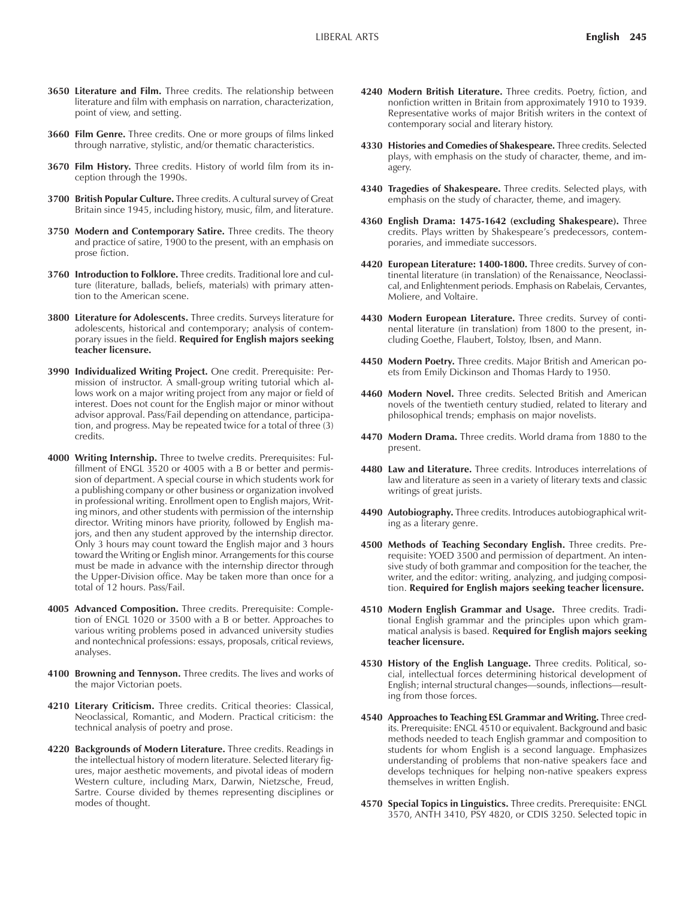- **3650 Literature and Film.** Three credits. The relationship between literature and film with emphasis on narration, characterization, point of view, and setting.
- **3660 Film Genre.** Three credits. One or more groups of films linked through narrative, stylistic, and/or thematic characteristics.
- **3670 Film History.** Three credits. History of world film from its inception through the 1990s.
- **3700 British Popular Culture.** Three credits. A cultural survey of Great Britain since 1945, including history, music, film, and literature.
- **3750 Modern and Contemporary Satire.** Three credits. The theory and practice of satire, 1900 to the present, with an emphasis on prose fiction.
- **3760 Introduction to Folklore.** Three credits. Traditional lore and culture (literature, ballads, beliefs, materials) with primary attention to the American scene.
- **3800 Literature for Adolescents.** Three credits. Surveys literature for adolescents, historical and contemporary; analysis of contemporary issues in the field. **Required for English majors seeking teacher licensure.**
- **3990 Individualized Writing Project.** One credit. Prerequisite: Permission of instructor. A small-group writing tutorial which allows work on a major writing project from any major or field of interest. Does not count for the English major or minor without advisor approval. Pass/Fail depending on attendance, participation, and progress. May be repeated twice for a total of three (3) credits.
- **4000 Writing Internship.** Three to twelve credits. Prerequisites: Fulfillment of ENGL 3520 or 4005 with a B or better and permission of department. A special course in which students work for a publishing company or other business or organization involved in professional writing. Enrollment open to English majors, Writing minors, and other students with permission of the internship director. Writing minors have priority, followed by English majors, and then any student approved by the internship director. Only 3 hours may count toward the English major and 3 hours toward the Writing or English minor. Arrangements for this course must be made in advance with the internship director through the Upper-Division office. May be taken more than once for a total of 12 hours. Pass/Fail.
- **4005 Advanced Composition.** Three credits. Prerequisite: Completion of ENGL 1020 or 3500 with a B or better. Approaches to various writing problems posed in advanced university studies and nontechnical professions: essays, proposals, critical reviews, analyses.
- **4100 Browning and Tennyson.** Three credits. The lives and works of the major Victorian poets.
- **4210 Literary Criticism.** Three credits. Critical theories: Classical, Neoclassical, Romantic, and Modern. Practical criticism: the technical analysis of poetry and prose.
- **4220 Backgrounds of Modern Literature.** Three credits. Readings in the intellectual history of modern literature. Selected literary figures, major aesthetic movements, and pivotal ideas of modern Western culture, including Marx, Darwin, Nietzsche, Freud, Sartre. Course divided by themes representing disciplines or modes of thought.
- **4240 Modern British Literature.** Three credits. Poetry, fiction, and nonfiction written in Britain from approximately 1910 to 1939. Representative works of major British writers in the context of contemporary social and literary history.
- **4330 Histories and Comedies of Shakespeare.** Three credits. Selected plays, with emphasis on the study of character, theme, and imagery.
- **4340 Tragedies of Shakespeare.** Three credits. Selected plays, with emphasis on the study of character, theme, and imagery.
- **4360 English Drama: 1475-1642 (excluding Shakespeare).** Three credits. Plays written by Shakespeare's predecessors, contemporaries, and immediate successors.
- **4420 European Literature: 1400-1800.** Three credits. Survey of continental literature (in translation) of the Renaissance, Neoclassical, and Enlightenment periods. Emphasis on Rabelais, Cervantes, Moliere, and Voltaire.
- **4430 Modern European Literature.** Three credits. Survey of continental literature (in translation) from 1800 to the present, including Goethe, Flaubert, Tolstoy, Ibsen, and Mann.
- **4450 Modern Poetry.** Three credits. Major British and American poets from Emily Dickinson and Thomas Hardy to 1950.
- **4460 Modern Novel.** Three credits. Selected British and American novels of the twentieth century studied, related to literary and philosophical trends; emphasis on major novelists.
- **4470 Modern Drama.** Three credits. World drama from 1880 to the present.
- **4480 Law and Literature.** Three credits. Introduces interrelations of law and literature as seen in a variety of literary texts and classic writings of great jurists.
- **4490 Autobiography.** Three credits. Introduces autobiographical writing as a literary genre.
- **4500 Methods of Teaching Secondary English.** Three credits. Prerequisite: YOED 3500 and permission of department. An intensive study of both grammar and composition for the teacher, the writer, and the editor: writing, analyzing, and judging composition. **Required for English majors seeking teacher licensure.**
- **4510 Modern English Grammar and Usage.** Three credits. Traditional English grammar and the principles upon which grammatical analysis is based. R**equired for English majors seeking teacher licensure.**
- **4530 History of the English Language.** Three credits. Political, social, intellectual forces determining historical development of English; internal structural changes—sounds, inflections—resulting from those forces.
- **4540 Approaches to Teaching ESL Grammar and Writing.** Three credits. Prerequisite: ENGL 4510 or equivalent. Background and basic methods needed to teach English grammar and composition to students for whom English is a second language. Emphasizes understanding of problems that non-native speakers face and develops techniques for helping non-native speakers express themselves in written English.
- **4570 Special Topics in Linguistics.** Three credits. Prerequisite: ENGL 3570, ANTH 3410, PSY 4820, or CDIS 3250. Selected topic in